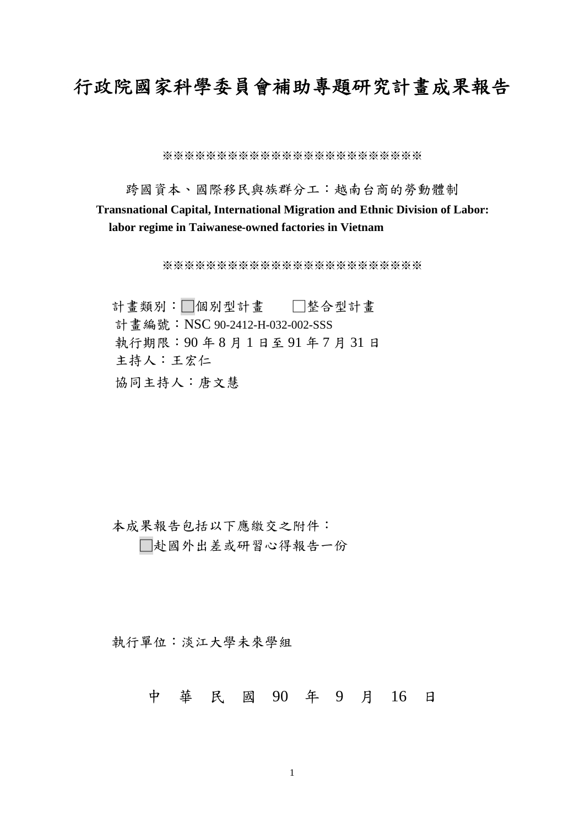# 行政院國家科學委員會補助專題研究計畫成果報告

※※※※※※※※※※※※※※※※※※※※※※※※

跨國資本、國際移民與族群分工:越南台商的勞動體制

### **Transnational Capital, International Migration and Ethnic Division of Labor: labor regime in Taiwanese-owned factories in Vietnam**

※※※※※※※※※※※※※※※※※※※※※※※※

計書類別:□個別型計書 □整合型計書 計書編號: NSC 90-2412-H-032-002-SSS 執行期限:90 年 8 月 1 日至 91 年 7 月 31 日 主持人:王宏仁 協同主持人:唐文慧

本成果報告包括以下應繳交之附件: □赴國外出差或研習心得報告一份

執行單位:淡江大學未來學組

中 華 民 國 90 年 9 月 16 日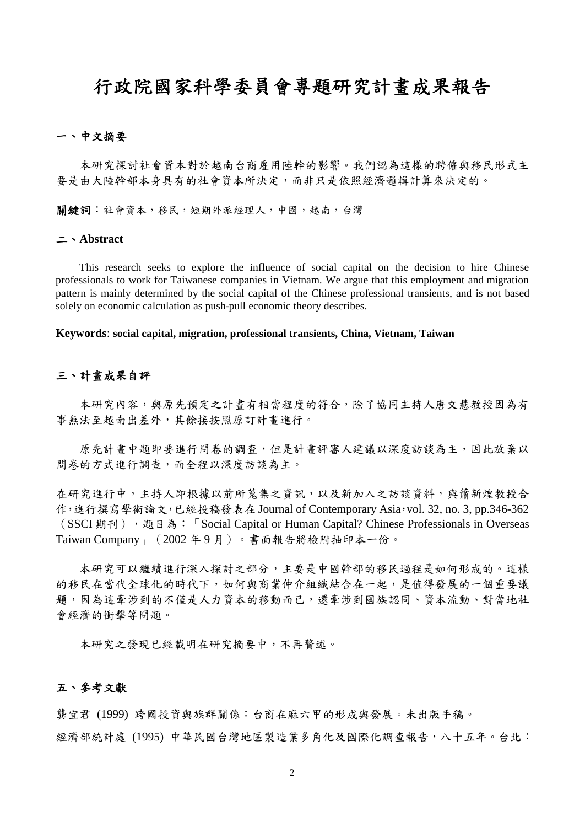## 行政院國家科學委員會專題研究計畫成果報告

### 一、中文摘要

本研究探討社會資本對於越南台商雇用陸幹的影響。我們認為這樣的聘僱與移民形式主 要是由大陸幹部本身具有的社會資本所決定,而非只是依照經濟邏輯計算來決定的。

關鍵詞:社會資本,移民,短期外派經理人,中國,越南,台灣

#### 二、**Abstract**

This research seeks to explore the influence of social capital on the decision to hire Chinese professionals to work for Taiwanese companies in Vietnam. We argue that this employment and migration pattern is mainly determined by the social capital of the Chinese professional transients, and is not based solely on economic calculation as push-pull economic theory describes.

**Keywords**: **social capital, migration, professional transients, China, Vietnam, Taiwan**

#### 三、計畫成果自評

本研究內容,與原先預定之計畫有相當程度的符合,除了協同主持人唐文慧教授因為有 事無法至越南出差外,其餘接按照原訂計畫進行。

原先計書中題即要進行問卷的調查,但是計書評審人建議以深度訪談為主,因此放棄以 問卷的方式進行調查,而全程以深度訪談為主。

在研究進行中,主持人即根據以前所蒐集之資訊,以及新加入之訪談資料,與蕭新煌教授合 作,進行撰寫學術論文,已經投稿發表在 Journal of Contemporary Asia,vol. 32, no. 3, pp.346-362 (SSCI 期刊), 題目為: 「Social Capital or Human Capital? Chinese Professionals in Overseas Taiwan Company」(2002 年 9 月)。書面報告將檢附抽印本一份。

本研究可以繼續進行深入探討之部分,主要是中國幹部的移民過程是如何形成的。這樣 的移民在當代全球化的時代下,如何與商業仲介組織結合在一起,是值得發展的一個重要議 題,因為這牽涉到的不僅是人力資本的移動而已,還牽涉到國族認同、資本流動、對當地社 會經濟的衝擊等問題。

本研究之發現已經載明在研究摘要中,不再贅述。

#### 五、參考文獻

龔宜君 (1999) 跨國投資與族群關係:台商在麻六甲的形成與發展。未出版手稿。

經濟部統計處 (1995) 中華民國台灣地區製造業多角化及國際化調查報告,八十五年。台北: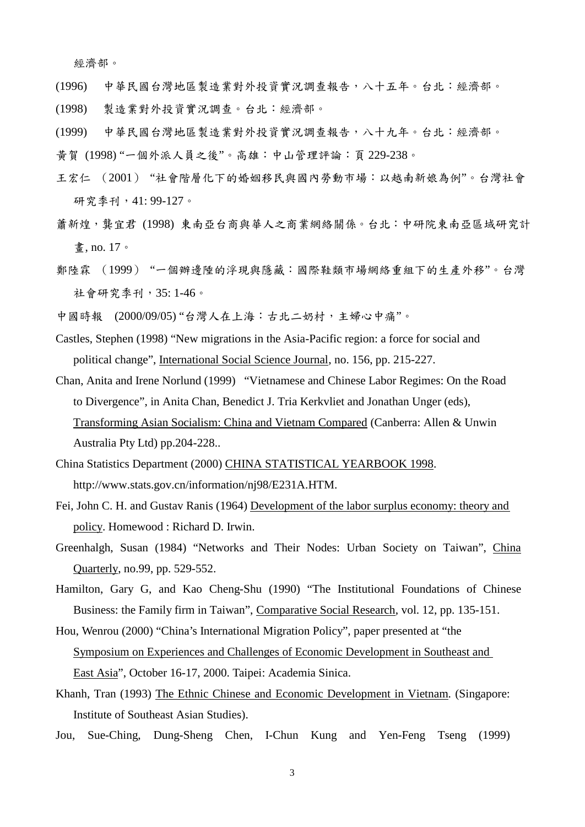經濟部。

- (1996) 中華民國台灣地區製造業對外投資實況調查報告,八十五年。台北:經濟部。
- (1998) 製造業對外投資實況調查。台北:經濟部。
- (1999) 中華民國台灣地區製造業對外投資實況調查報告,八十九年。台北:經濟部。
- 黃賀 (1998) "一個外派人員之後"。高雄:中山管理評論:頁 229-238。
- 王宏仁 (2001) "社會階層化下的婚姻移民與國內勞動市場:以越南新娘為例"。台灣社會 研究季刊,41:99-127。
- 蕭新煌,襲宜君 (1998) 東南亞台商與華人之商業網絡關係。台北:中研院東南亞區域研究計 畫, no. 17。
- 鄭陸霖 (1999) "一個辦邊陲的浮現與隱藏:國際鞋類市場網絡重組下的生產外移"。台灣 社會研究季刊,35: 1-46。
- 中國時報 (2000/09/05) "台灣人在上海:古北二奶村,主婦心中痛"。
- Castles, Stephen (1998) "New migrations in the Asia-Pacific region: a force for social and political change", International Social Science Journal, no. 156, pp. 215-227.
- Chan, Anita and Irene Norlund (1999) "Vietnamese and Chinese Labor Regimes: On the Road to Divergence", in Anita Chan, Benedict J. Tria Kerkvliet and Jonathan Unger (eds), Transforming Asian Socialism: China and Vietnam Compared (Canberra: Allen & Unwin Australia Pty Ltd) pp.204-228..
- China Statistics Department (2000) CHINA STATISTICAL YEARBOOK 1998. http://www.stats.gov.cn/information/nj98/E231A.HTM.
- Fei, John C. H. and Gustav Ranis (1964) Development of the labor surplus economy: theory and policy. Homewood : Richard D. Irwin.
- Greenhalgh, Susan (1984) "Networks and Their Nodes: Urban Society on Taiwan", China Quarterly, no.99, pp. 529-552.
- Hamilton, Gary G, and Kao Cheng-Shu (1990) "The Institutional Foundations of Chinese Business: the Family firm in Taiwan", Comparative Social Research, vol. 12, pp. 135-151.

Hou, Wenrou (2000) "China's International Migration Policy", paper presented at "the Symposium on Experiences and Challenges of Economic Development in Southeast and East Asia", October 16-17, 2000. Taipei: Academia Sinica.

- Khanh, Tran (1993) The Ethnic Chinese and Economic Development in Vietnam. (Singapore: Institute of Southeast Asian Studies).
- Jou, Sue-Ching, Dung-Sheng Chen, I-Chun Kung and Yen-Feng Tseng (1999)